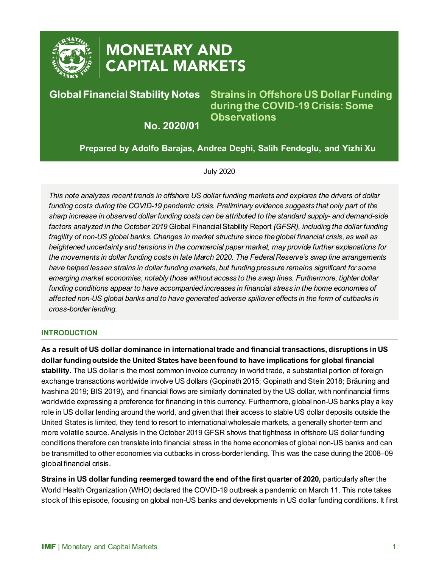

# **MONETARY AND CAPITAL MARKETS**

# **Global Financial Stability Notes**

**Strains in Offshore US Dollar Funding during the COVID-19 Crisis: Some Observations**

**No. 2020/01**

**Prepared by Adolfo Barajas, Andrea Deghi, Salih Fendoglu, and Yizhi Xu**

July 2020

*This note analyzes recent trends in offshore US dollar funding markets and explores the drivers of dollar funding costs during the COVID-19 pandemic crisis. Preliminary evidence suggests that only part of the sharp increase in observed dollar funding costs can be attributed to the standard supply- and demand-side factors analyzed in the October 2019* Global Financial Stability Report *(GFSR), including the dollar funding fragility of non-US global banks. Changes in market structure since the global financial crisis, as well as heightened uncertainty and tensions in the commercial paper market, may provide further explanations for the movements in dollar funding costs in late March 2020. The Federal Reserve's swap line arrangements have helped lessen strains in dollar funding markets, but funding pressure remains significant for some emerging market economies, notably those without access to the swap lines. Furthermore, tighter dollar funding conditions appear to have accompanied increases in financial stress in the home economies of affected non-US global banks and to have generated adverse spillover effects in the form of cutbacks in cross-border lending.*

## **INTRODUCTION**

**As a result of US dollar dominance in international trade and financial transactions, disruptions in US dollar funding outside the United States have been found to have implications for global financial stability.** The US dollar is the most common invoice currency in world trade, a substantial portion of foreign exchange transactions worldwide involve US dollars (Gopinath 2015; Gopinath and Stein 2018; Bräuning and Ivashina 2019; BIS 2019), and financial flows are similarly dominated by the US dollar, with nonfinancial firms worldwide expressing a preference for financing in this currency. Furthermore, global non-US banks play a key role in US dollar lending around the world, and given that their access to stable US dollar deposits outside the United States is limited, they tend to resort to international wholesale markets, a generally shorter-term and more volatile source. Analysis in the October 2019 GFSR shows that tightness in offshore US dollar funding conditions therefore can translate into financial stress in the home economies of global non-US banks and can be transmitted to other economies via cutbacks in cross-border lending. This was the case during the 2008–09 global financial crisis.

**Strains in US dollar funding reemerged toward the end of the first quarter of 2020,** particularly after the World Health Organization (WHO) declared the COVID-19 outbreak a pandemic on March 11. This note takes stock of this episode, focusing on global non-US banks and developments in US dollar funding conditions. It first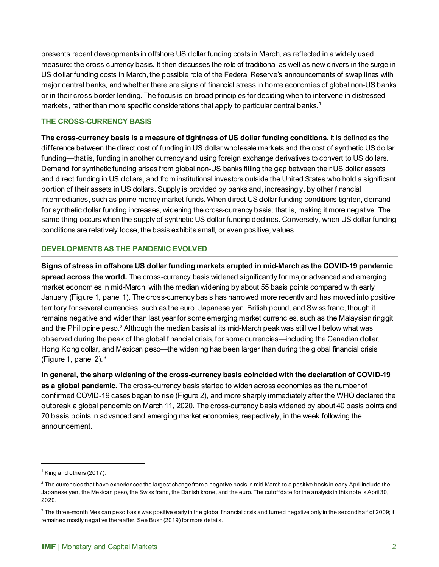presents recent developments in offshore US dollar funding costs in March, as reflected in a widely used measure: the cross-currency basis. It then discusses the role of traditional as well as new drivers in the surge in US dollar funding costs in March, the possible role of the Federal Reserve's announcements of swap lines with major central banks, and whether there are signs of financial stress in home economies of global non-US banks or in their cross-border lending. The focus is on broad principles for deciding when to intervene in distressed markets, rather than more specific considerations that apply to particular central banks.<sup>[1](#page-1-0)</sup>

#### **THE CROSS-CURRENCY BASIS**

**The cross-currency basis is a measure of tightness of US dollar funding conditions.** It is defined as the difference between the direct cost of funding in US dollar wholesale markets and the cost of synthetic US dollar funding—that is, funding in another currency and using foreign exchange derivatives to convert to US dollars. Demand for synthetic funding arises from global non-US banks filling the gap between their US dollar assets and direct funding in US dollars, and from institutional investors outside the United States who hold a significant portion of their assets in US dollars. Supply is provided by banks and, increasingly, by other financial intermediaries, such as prime money market funds. When direct US dollar funding conditions tighten, demand for synthetic dollar funding increases, widening the cross-currency basis; that is, making it more negative. The same thing occurs when the supply of synthetic US dollar funding declines. Conversely, when US dollar funding conditions are relatively loose, the basis exhibits small, or even positive, values.

## **DEVELOPMENTS AS THE PANDEMIC EVOLVED**

**Signs of stress in offshore US dollar funding markets erupted in mid-March as the COVID-19 pandemic spread across the world.** The cross-currency basis widened significantly for major advanced and emerging market economies in mid-March, with the median widening by about 55 basis points compared with early January (Figure 1, panel 1). The cross-currency basis has narrowed more recently and has moved into positive territory for several currencies, such as the euro, Japanese yen, British pound, and Swiss franc, though it remains negative and wider than last year for some emerging market currencies, such as the Malaysian ringgit and the Philippine peso. $^2$  $^2$  Although the median basis at its mid-March peak was still well below what was observed during the peak of the global financial crisis, for some currencies—including the Canadian dollar, Hong Kong dollar, and Mexican peso—the widening has been larger than during the global financial crisis (Figure 1, panel 2).  $3$ 

**In general, the sharp widening of the cross-currency basis coincided with the declaration of COVID-19 as a global pandemic.** The cross-currency basis started to widen across economies as the number of confirmed COVID-19 cases began to rise (Figure 2), and more sharply immediately after the WHO declared the outbreak a global pandemic on March 11, 2020. The cross-currency basis widened by about 40 basis points and 70 basis points in advanced and emerging market economies, respectively, in the week following the announcement.

<span id="page-1-0"></span> $<sup>1</sup>$  King and others (2017).</sup>

<span id="page-1-1"></span> $^{\rm 2}$  The currencies that have experienced the largest change from a negative basis in mid-March to a positive basis in early April include the Japanese yen, the Mexican peso, the Swiss franc, the Danish krone, and the euro. The cutoff date for the analysis in this note is April 30, 2020.

<span id="page-1-2"></span> $^3$  The three-month Mexican peso basis was positive early in the global financial crisis and turned negative only in the second half of 2009; it remained mostly negative thereafter. See Bush (2019) for more details.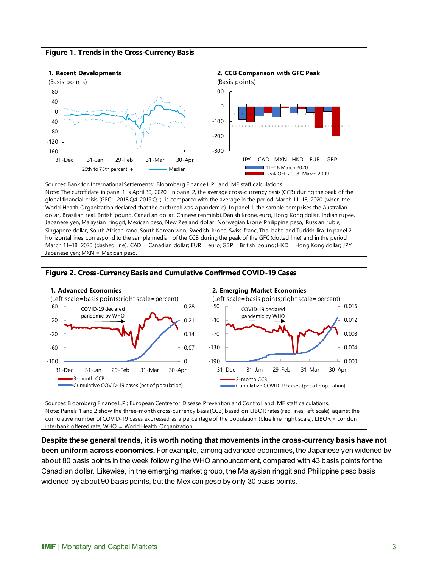

global financial crisis (GFC—2018:Q4–2019:Q1) is compared with the average in the period March 11–18, 2020 (when the World Health Organization declared that the outbreak was a pandemic). In panel 1, the sample comprises the Australian dollar, Brazilian real, British pound, Canadian dollar, Chinese renminbi, Danish krone, euro, Hong Kong dollar, Indian rupee, Japanese yen, Malaysian ringgit, Mexican peso, New Zealand dollar, Norwegian krone, Philippine peso, Russian ruble, Singapore dollar, South African rand, South Korean won, Swedish krona, Swiss franc, Thai baht, and Turkish lira. In panel 2, horizontal lines correspond to the sample median of the CCB during the peak of the GFC (dotted line) and in the period March 11–18, 2020 (dashed line). CAD = Canadian dollar; EUR = euro; GBP = British pound; HKD = Hong Kong dollar; JPY = Japanese yen; MXN = Mexican peso



Note: Panels 1 and 2 show the three-month cross-currency basis (CCB) based on LIBOR rates (red lines, left scale) against the cumulative number of COVID-19 cases expressed as a percentage of the population (blue line, right scale). LIBOR = London interbank offered rate; WHO = World Health Organization.

**Despite these general trends, it is worth noting that movements in the cross-currency basis have not been uniform across economies.** For example, among advanced economies, the Japanese yen widened by about 80 basis points in the week following the WHO announcement, compared with 43 basis points for the Canadian dollar. Likewise, in the emerging market group, the Malaysian ringgit and Philippine peso basis widened by about 90 basis points, but the Mexican peso by only 30 basis points.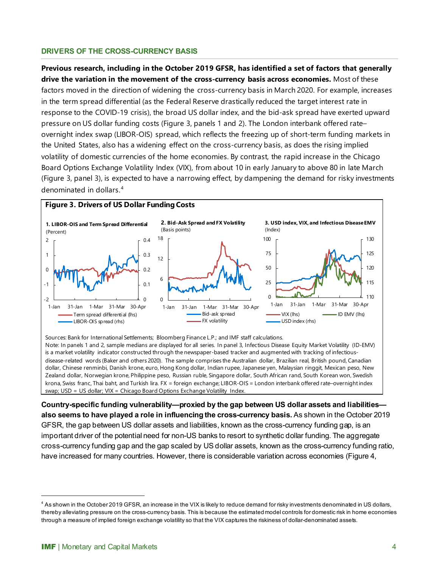#### **DRIVERS OF THE CROSS-CURRENCY BASIS**

**Previous research, including in the October 2019 [GFSR,](https://www.imf.org/en/Publications/GFSR/Issues/2019/10/01/global-financial-stability-report-october-2019#Chapter5) has identified a set of factors that generally drive the variation in the movement of the cross-currency basis across economies.** Most of these factors moved in the direction of widening the cross-currency basis in March 2020. For example, increases in the term spread differential (as the Federal Reserve drastically reduced the target interest rate in response to the COVID-19 crisis), the broad US dollar index, and the bid-ask spread have exerted upward pressure on US dollar funding costs (Figure 3, panels 1 and 2). The London interbank offered rate– overnight index swap (LIBOR-OIS) spread, which reflects the freezing up of short-term funding markets in the United States, also has a widening effect on the cross-currency basis, as does the rising implied volatility of domestic currencies of the home economies. By contrast, the rapid increase in the Chicago Board Options Exchange Volatility Index (VIX), from about 10 in early January to above 80 in late March (Figure 3, panel 3), is expected to have a narrowing effect, by dampening the demand for risky investments denominated in dollars. [4](#page-3-0)



Sources: Bank for International Settlements; Bloomberg Finance L.P.; and IMF staff calculations. Note: In panels 1 and 2, sample medians are displayed for all series. In panel 3, Infectious Disease Equity Market Volatility (ID-EMV) is a market volatility indicator constructed through the newspaper-based tracker and augmented with tracking of infectiousdisease-related words (Baker and others 2020). The sample comprises the Australian dollar, Brazilian real, British pound, Canadian dollar, Chinese renminbi, Danish krone, euro, Hong Kong dollar, Indian rupee, Japanese yen, Malaysian ringgit, Mexican peso, New Zealand dollar, Norwegian krone, Philippine peso, Russian ruble, Singapore dollar, South African rand, South Korean won, Swedish krona, Swiss franc, Thai baht, and Turkish lira. FX = foreign exchange; LIBOR-OIS = London interbank offered rate–overnight index swap; USD = US dollar; VIX = Chicago Board Options Exchange Volatility Index.

**Country-specific funding vulnerability—proxied by the gap between US dollar assets and liabilities also seems to have played a role in influencing the cross-currency basis.** As shown in the October 2019 GFSR, the gap between US dollar assets and liabilities, known as the cross-currency funding gap, is an important driver of the potential need for non-US banks to resort to synthetic dollar funding. The aggregate cross-currency funding gap and the gap scaled by US dollar assets, known as the cross-currency funding ratio, have increased for many countries. However, there is considerable variation across economies (Figure 4,

<span id="page-3-0"></span><sup>4</sup> As shown in the October 2019 GFSR, an increase in the VIX is likely to reduce demand for risky investments denominated in US dollars, thereby alleviating pressure on the cross-currency basis. This is because the estimated model controls for domestic risk in home economies through a measure of implied foreign exchange volatility so that the VIX captures the riskiness of dollar-denominated assets.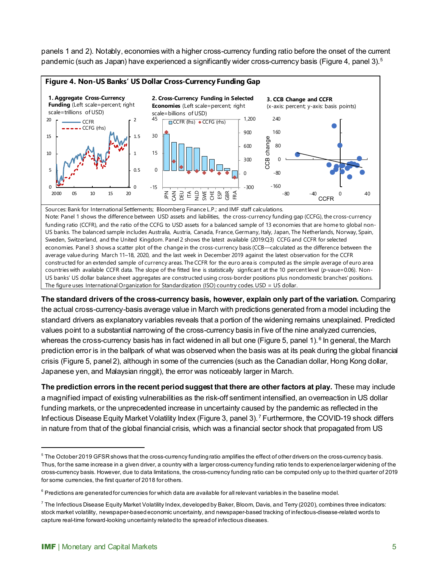panels 1 and 2). Notably, economies with a higher cross-currency funding ratio before the onset of the current pandemic (such as Japan) have experienced a significantly wider cross-currency basis (Figure 4, panel 3).<sup>5</sup>



Sweden, Switzerland, and the United Kingdom. Panel 2 shows the latest available (2019:Q3) CCFG and CCFR for selected economies. Panel 3 shows a scatter plot of the change in the cross-currency basis (CCB—calculated as the difference between the average value during March 11–18, 2020, and the last week in December 2019 against the latest observation for the CCFR constructed for an extended sample of currency areas. The CCFR for the euro area is computed as the simple average of euro area countries with available CCFR data. The slope of the fitted line is statistically signficant at the 10 percent level (*p*-vaue=0.06). Non-US banks' US dollar balance sheet aggregates are constructed using cross-border positions plus nondomestic branches' positions. The figure uses International Organization for Standardization (ISO) country codes. USD = US dollar.

**The standard drivers of the cross-currency basis, however, explain only part of the variation.** Comparing the actual cross-currency-basis average value in March with predictions generated from a model including the standard drivers as explanatory variables reveals that a portion of the widening remains unexplained. Predicted values point to a substantial narrowing of the cross-currency basis in five of the nine analyzed currencies, whereas the cross-currency basis has in fact widened in all but one (Figure 5, panel 1). <sup>[6](#page-4-1)</sup> In general, the March prediction error is in the ballpark of what was observed when the basis was at its peak during the global financial crisis (Figure 5, panel 2), although in some of the currencies (such as the Canadian dollar, Hong Kong dollar, Japanese yen, and Malaysian ringgit), the error was noticeably larger in March.

**The prediction errors in the recent period suggest that there are other factors at play.** These may include a magnified impact of existing vulnerabilities as the risk-off sentiment intensified, an overreaction in US dollar funding markets, or the unprecedented increase in uncertainty caused by the pandemic as reflected in the Infectious Disease Equity Market Volatility Index (Figure 3, panel 3).<sup>[7](#page-4-2)</sup> Furthermore, the COVID-19 shock differs in nature from that of the global financial crisis, which was a financial sector shock that propagated from US

<span id="page-4-0"></span><sup>&</sup>lt;sup>5</sup> The October 2019 GFSR shows that the cross-currency funding ratio amplifies the effect of other drivers on the cross-currency basis. Thus, for the same increase in a given driver, a country with a larger cross-currency funding ratio tends to experience larger widening of the cross-currency basis. However, due to data limitations, the cross-currency funding ratio can be computed only up to the third quarter of 2019 for some currencies, the first quarter of 2018 for others.

<span id="page-4-1"></span> $^6$  Predictions are generated for currencies for which data are available for all relevant variables in the baseline model.

<span id="page-4-2"></span> $^7$  The Infectious Disease Equity Market Volatility Index, developed by Baker, Bloom, Davis, and Terry (2020), combines three indicators: stock market volatility, newspaper-based economic uncertainty, and newspaper-based tracking of infectious-disease-related words to capture real-time forward-looking uncertainty related to the spread of infectious diseases.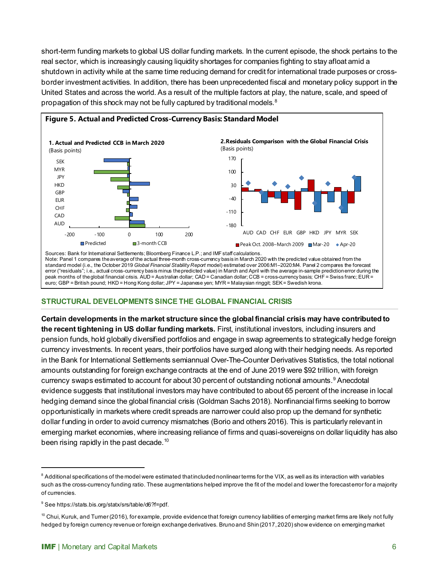short-term funding markets to global US dollar funding markets. In the current episode, the shock pertains to the real sector, which is increasingly causing liquidity shortages for companies fighting to stay afloat amid a shutdown in activity while at the same time reducing demand for credit for international trade purposes or crossborder investment activities. In addition, there has been unprecedented fiscal and monetary policy support in the United States and across the world. As a result of the multiple factors at play, the nature, scale, and speed of propagation of this shock may not be fully captured by traditional models. $^8$  $^8$ 



#### **STRUCTURAL DEVELOPMENTS SINCE THE GLOBAL FINANCIAL CRISIS**

euro; GBP = British pound; HKD = Hong Kong dollar; JPY = Japanese yen; MYR = Malaysian ringgit; SEK = Swedish krona.

**Certain developments in the market structure since the global financial crisis may have contributed to the recent tightening in US dollar funding markets.** First, institutional investors, including insurers and pension funds, hold globally diversified portfolios and engage in swap agreements to strategically hedge foreign currency investments. In recent years, their portfolios have surged along with their hedging needs. As reported in the Bank for International Settlements semiannual Over-The-Counter Derivatives Statistics, the total notional amounts outstanding for foreign exchange contracts at the end of June 2019 were \$92 trillion, with foreign currency swaps estimated to account for about 30 percent of outstanding notional amounts.<sup>[9](#page-5-1)</sup> Anecdotal evidence suggests that institutional investors may have contributed to about 65 percent of the increase in local hedging demand since the global financial crisis (Goldman Sachs 2018). Nonfinancial firms seeking to borrow opportunistically in markets where credit spreads are narrower could also prop up the demand for synthetic dollar funding in order to avoid currency mismatches (Borio and others 2016). This is particularly relevant in emerging market economies, where increasing reliance of firms and quasi-sovereigns on dollar liquidity has also been rising rapidly in the past decade.<sup>[10](#page-5-2)</sup>

<span id="page-5-0"></span> $8$  Additional specifications of the model were estimated that included nonlinear terms for the VIX, as well as its interaction with variables such as the cross-currency funding ratio. These augmentations helped improve the fit of the model and lower the forecast error for a majority of currencies.

<span id="page-5-1"></span><sup>9</sup> See https://stats.bis.org/statx/srs/table/d6?f=pdf.

<span id="page-5-2"></span> $^{10}$  Chui, Kuruk, and Turner (2016), for example, provide evidence that foreign currency liabilities of emerging market firms are likely not fully hedged by foreign currency revenue or foreign exchange derivatives. Bruno and Shin (2017, 2020) show evidence on emerging market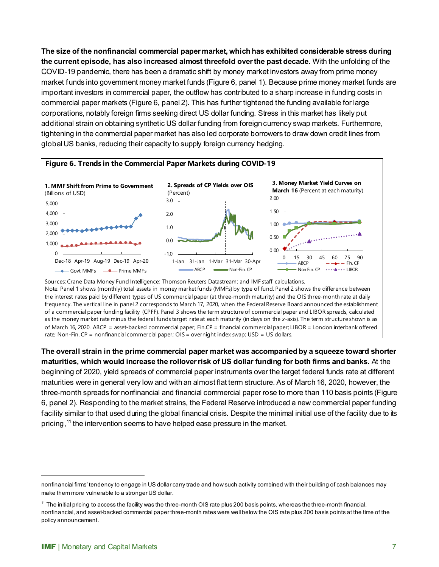**The size of the nonfinancial commercial paper market, which has exhibited considerable stress during the current episode, has also increased almost threefold over the past decade.** With the unfolding of the COVID-19 pandemic, there has been a dramatic shift by money market investors away from prime money market funds into government money market funds (Figure 6, panel 1). Because prime money market funds are important investors in commercial paper, the outflow has contributed to a sharp increase in funding costs in commercial paper markets (Figure 6, panel 2). This has further tightened the funding available for large corporations, notably foreign firms seeking direct US dollar funding. Stress in this market has likely put additional strain on obtaining synthetic US dollar funding from foreign currency swap markets. Furthermore, tightening in the commercial paper market has also led corporate borrowers to draw down credit lines from global US banks, reducing their capacity to supply foreign currency hedging.



as the money market rate minus the federal funds target rate at each maturity (in days on the *x*-axis). The term structure shown is as of March 16, 2020. ABCP = asset-backed commercial paper; Fin.CP = financial commercial paper; LIBOR = London interbank offered rate; Non-Fin. CP = nonfinancial commercial paper; OIS = overnight index swap; USD = US dollars.

**The overall strain in the prime commercial paper market was accompanied by a squeeze toward shorter maturities, which would increase the rollover risk of US dollar funding for both firms and banks.** At the

beginning of 2020, yield spreads of commercial paper instruments over the target federal funds rate at different maturities were in general very low and with an almost flat term structure. As of March 16, 2020, however, the three-month spreads for nonfinancial and financial commercial paper rose to more than 110 basis points (Figure 6, panel 2). Responding to the market strains, the Federal Reserve introduced a new commercial paper funding facility similar to that used during the global financial crisis. Despite the minimal initial use of the facility due to its pricing,<sup>[11](#page-6-0)</sup> the intervention seems to have helped ease pressure in the market.

nonfinancial firms' tendency to engage in US dollar carry trade and how such activity combined with their building of cash balances may make them more vulnerable to a stronger US dollar.

<span id="page-6-0"></span> $11$  The initial pricing to access the facility was the three-month OIS rate plus 200 basis points, whereas the three-month financial, nonfinancial, and asset-backed commercial paper three-month rates were well below the OIS rate plus 200 basis points at the time of the policy announcement.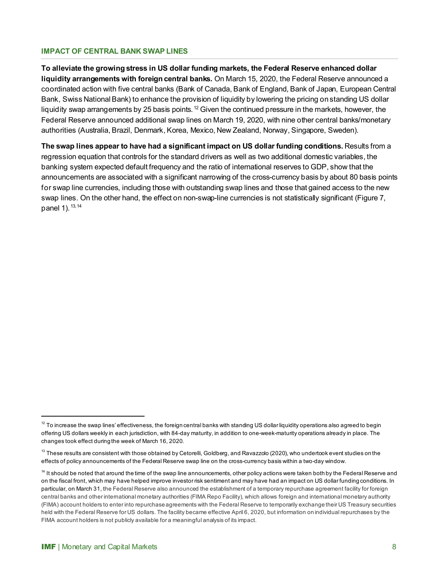#### **IMPACT OF CENTRAL BANK SWAP LINES**

**To alleviate the growing stress in US dollar funding markets, the Federal Reserve enhanced dollar liquidity arrangements with foreign central banks.** On March 15, 2020, the Federal Reserve announced a coordinated action with five central banks (Bank of Canada, Bank of England, Bank of Japan, European Central Bank, Swiss National Bank) to enhance the provision of liquidity by lowering the pricing on standing US dollar liquidity swap arrangements by 25 basis points.  $12$  Given the continued pressure in the markets, however, the Federal Reserve announced additional swap lines on March 19, 2020, with nine other central banks/monetary authorities (Australia, Brazil, Denmark, Korea, Mexico, New Zealand, Norway, Singapore, Sweden).

**The swap lines appear to have had a significant impact on US dollar funding conditions.** Results from a regression equation that controls for the standard drivers as well as two additional domestic variables, the banking system expected default frequency and the ratio of international reserves to GDP, show that the announcements are associated with a significant narrowing of the cross-currency basis by about 80 basis points for swap line currencies, including those with outstanding swap lines and those that gained access to the new swap lines. On the other hand, the effect on non-swap-line currencies is not statistically significant (Figure 7, panel 1).  $13, 14$  $13, 14$  $13, 14$ 

<span id="page-7-0"></span> $12$  To increase the swap lines' effectiveness, the foreign central banks with standing US dollar liquidity operations also agreed to begin offering US dollars weekly in each jurisdiction, with 84-day maturity, in addition to one-week-maturity operations already in place. The changes took effect during the week of March 16, 2020.

<span id="page-7-1"></span><sup>&</sup>lt;sup>13</sup> These results are consistent with those obtained by Cetorelli, Goldberg, and Ravazzolo (2020), who undertook event studies on the effects of policy announcements of the Federal Reserve swap line on the cross-currency basis within a two-day window.

<span id="page-7-2"></span><sup>&</sup>lt;sup>14</sup> It should be noted that around the time of the swap line announcements, other policy actions were taken both by the Federal Reserve and on the fiscal front, which may have helped improve investor risk sentiment and may have had an impact on US dollar funding conditions. In particular, on March 31, the Federal Reserve also announced the establishment of a temporary repurchase agreement facility for foreign central banks and other international monetary authorities (FIMA Repo Facility), which allows foreign and international monetary authority (FIMA) account holders to enter into repurchase agreements with the Federal Reserve to temporarily exchange their US Treasury securities held with the Federal Reserve for US dollars. The facility became effective April 6, 2020, but information on individual repurchases by the FIMA account holders is not publicly available for a meaningful analysis of its impact.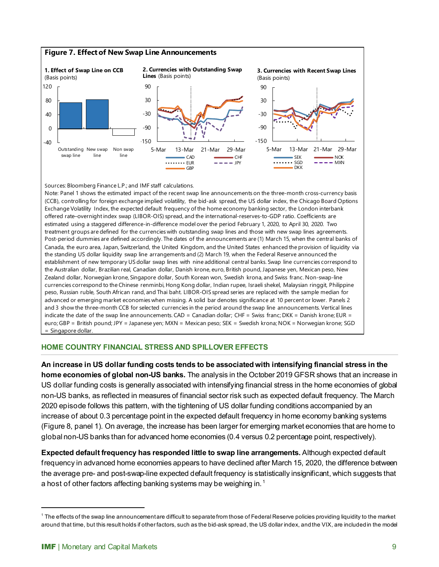

#### **HOME COUNTRY FINANCIAL STRESS AND SPILLOVER EFFECTS**

**An increase in US dollar funding costs tends to be associated with intensifying financial stress in the home economies of global non-US banks.** The analysis in the October 2019 GFSR shows that an increase in US dollar funding costs is generally associated with intensifying financial stress in the home economies of global non-US banks, as reflected in measures of financial sector risk such as expected default frequency. The March 2020 episode follows this pattern, with the tightening of US dollar funding conditions accompanied by an increase of about 0.3 percentage point in the expected default frequency in home economy banking systems (Figure 8, panel 1). On average, the increase has been larger for emerging market economies that are home to global non-US banks than for advanced home economies (0.4 versus 0.2 percentage point, respectively).

**Expected default frequency has responded little to swap line arrangements.** Although expected default frequency in advanced home economies appears to have declined after March 15, 2020, the difference between the average pre- and post-swap-line expected default frequency is statistically insignificant, which suggests that a host of other factors affecting banking systems may be weighing in.<sup>[1](#page-8-0)</sup>

<span id="page-8-0"></span> $1$  The effects of the swap line announcement are difficult to separate from those of Federal Reserve policies providing liquidity to the market around that time, but this result holds if other factors, such as the bid-ask spread, the US dollar index, and the VIX, are included in the model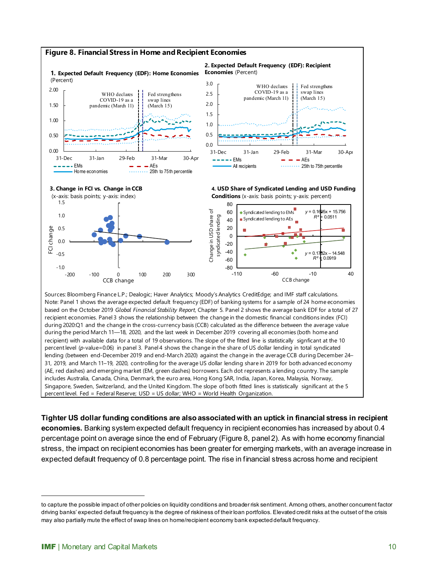

**Tighter US dollar funding conditions are also associated with an uptick in financial stress in recipient economies.** Banking system expected default frequency in recipient economies has increased by about 0.4 percentage point on average since the end of February (Figure 8, panel 2). As with home economy financial stress, the impact on recipient economies has been greater for emerging markets, with an average increase in expected default frequency of 0.8 percentage point. The rise in financial stress across home and recipient

to capture the possible impact of other policies on liquidity conditions and broader risk sentiment. Among others, another concurrent factor driving banks' expected default frequency is the degree of riskiness of their loan portfolios. Elevated credit risks at the outset of the crisis may also partially mute the effect of swap lines on home/recipient economy bank expected default frequency.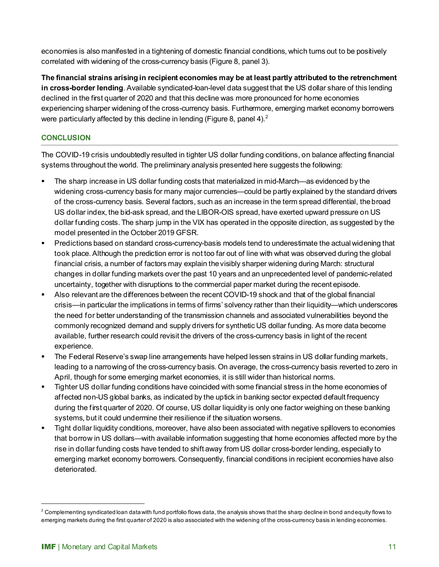economies is also manifested in a tightening of domestic financial conditions, which turns out to be positively correlated with widening of the cross-currency basis (Figure 8, panel 3).

**The financial strains arising in recipient economies may be at least partly attributed to the retrenchment in cross-border lending**. Available syndicated-loan-level data suggest that the US dollar share of this lending declined in the first quarter of 2020 and that this decline was more pronounced for home economies experiencing sharper widening of the cross-currency basis. Furthermore, emerging market economy borrowers were particularly affected by this decline in lending (Figure 8, panel 4). $^2$ 

# **CONCLUSION**

The COVID-19 crisis undoubtedly resulted in tighter US dollar funding conditions, on balance affecting financial systems throughout the world. The preliminary analysis presented here suggests the following:

- The sharp increase in US dollar funding costs that materialized in mid-March—as evidenced by the widening cross-currency basis for many major currencies—could be partly explained by the standard drivers of the cross-currency basis. Several factors, such as an increase in the term spread differential, the broad US dollar index, the bid-ask spread, and the LIBOR-OIS spread, have exerted upward pressure on US dollar funding costs. The sharp jump in the VIX has operated in the opposite direction, as suggested by the model presented in the October 2019 GFSR.
- Predictions based on standard cross-currency-basis models tend to underestimate the actual widening that took place. Although the prediction error is not too far out of line with what was observed during the global financial crisis, a number of factors may explain the visibly sharper widening during March: structural changes in dollar funding markets over the past 10 years and an unprecedented level of pandemic-related uncertainty, together with disruptions to the commercial paper market during the recent episode.
- Also relevant are the differences between the recent COVID-19 shock and that of the global financial crisis—in particular the implications in terms of firms' solvency rather than their liquidity—which underscores the need for better understanding of the transmission channels and associated vulnerabilities beyond the commonly recognized demand and supply drivers for synthetic US dollar funding. As more data become available, further research could revisit the drivers of the cross-currency basis in light of the recent experience.
- **The Federal Reserve's swap line arrangements have helped lessen strains in US dollar funding markets,** leading to a narrowing of the cross-currency basis. On average, the cross-currency basis reverted to zero in April, though for some emerging market economies, it is still wider than historical norms.
- Tighter US dollar funding conditions have coincided with some financial stress in the home economies of affected non-US global banks, as indicated by the uptick in banking sector expected default frequency during the first quarter of 2020. Of course, US dollar liquidity is only one factor weighing on these banking systems, but it could undermine their resilience if the situation worsens.
- Tight dollar liquidity conditions, moreover, have also been associated with negative spillovers to economies that borrow in US dollars—with available information suggesting that home economies affected more by the rise in dollar funding costs have tended to shift away from US dollar cross-border lending, especially to emerging market economy borrowers. Consequently, financial conditions in recipient economies have also deteriorated.

<span id="page-10-0"></span> $^2$  Complementing syndicated loan data with fund portfolio flows data, the analysis shows that the sharp decline in bond and equity flows to emerging markets during the first quarter of 2020 is also associated with the widening of the cross-currency basis in lending economies.